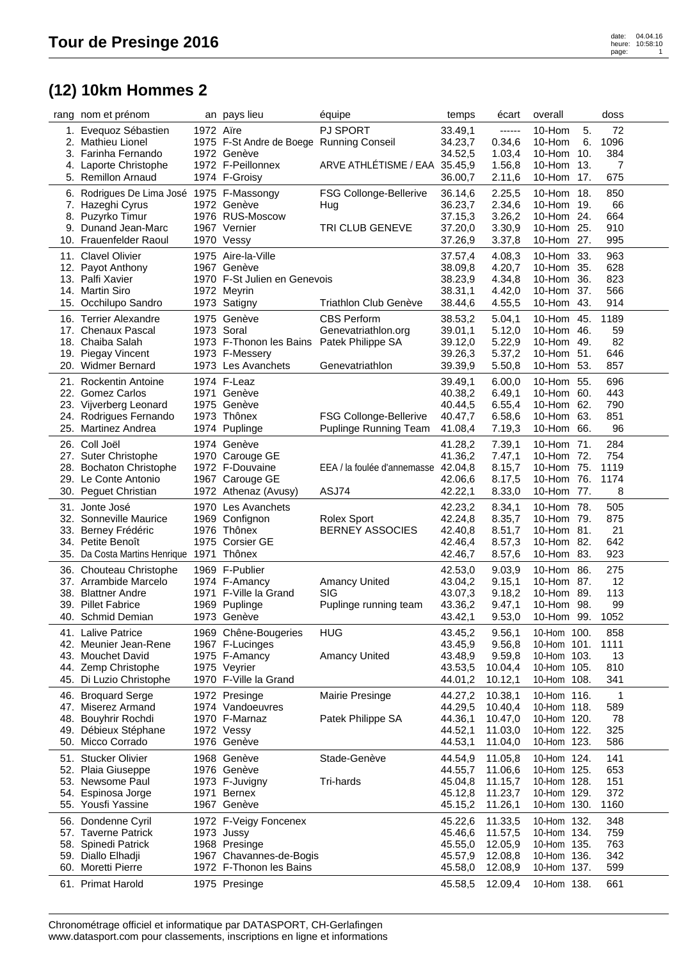## **(12) 10km Hommes 2**

|     | rang nom et prénom                        |           | an pays lieu                             | équipe                              | temps   | écart   | overall                  |     | doss       |  |
|-----|-------------------------------------------|-----------|------------------------------------------|-------------------------------------|---------|---------|--------------------------|-----|------------|--|
|     | 1. Eveguoz Sébastien                      | 1972 Aïre |                                          | <b>PJ SPORT</b>                     | 33.49,1 | ------  | 10-Hom                   | 5.  | 72         |  |
| 2.  | <b>Mathieu Lionel</b>                     |           | 1975 F-St Andre de Boege Running Conseil |                                     | 34.23,7 | 0.34, 6 | 10-Hom                   | 6.  | 1096       |  |
|     | 3. Farinha Fernando                       |           | 1972 Genève                              |                                     | 34.52,5 | 1.03,4  | 10-Hom                   | 10. | 384        |  |
| 4.  | Laporte Christophe                        |           | 1972 F-Peillonnex                        | ARVE ATHLÉTISME / EAA 35.45,9       |         | 1.56,8  | 10-Hom 13.               |     | 7          |  |
|     | 5. Remillon Arnaud                        |           | 1974 F-Groisy                            |                                     | 36.00,7 | 2.11,6  | 10-Hom                   | 17. | 675        |  |
|     | 6. Rodrigues De Lima José 1975 F-Massongy |           |                                          | FSG Collonge-Bellerive              | 36.14,6 | 2.25,5  | 10-Hom 18.               |     | 850        |  |
|     | 7. Hazeghi Cyrus                          |           | 1972 Genève                              | Hug                                 | 36.23,7 | 2.34,6  | 10-Hom 19.               |     | 66         |  |
| 8.  | Puzyrko Timur                             |           | 1976 RUS-Moscow                          |                                     | 37.15,3 | 3.26,2  | 10-Hom 24.               |     | 664        |  |
| 9.  | Dunand Jean-Marc                          |           | 1967 Vernier                             | TRI CLUB GENEVE                     | 37.20,0 | 3.30,9  | 10-Hom 25.               |     | 910        |  |
|     | 10. Frauenfelder Raoul                    |           | 1970 Vessy                               |                                     | 37.26,9 | 3.37,8  | 10-Hom 27.               |     | 995        |  |
|     |                                           |           |                                          |                                     |         |         |                          |     |            |  |
|     | 11. Clavel Olivier                        |           | 1975 Aire-la-Ville                       |                                     | 37.57,4 | 4.08,3  | 10-Hom 33.               |     | 963        |  |
|     | 12. Payot Anthony                         |           | 1967 Genève                              |                                     | 38.09,8 | 4.20,7  | 10-Hom 35.               |     | 628        |  |
| 13. | Palfi Xavier                              |           | 1970 F-St Julien en Genevois             |                                     | 38.23,9 | 4.34,8  | 10-Hom 36.               |     | 823        |  |
|     | 14. Martin Siro                           |           | 1972 Meyrin                              | Triathlon Club Genève               | 38.31,1 | 4.42,0  | 10-Hom 37.<br>10-Hom 43. |     | 566<br>914 |  |
|     | 15. Occhilupo Sandro                      |           | 1973 Satigny                             |                                     | 38.44,6 | 4.55,5  |                          |     |            |  |
|     | 16. Terrier Alexandre                     |           | 1975 Genève                              | <b>CBS Perform</b>                  | 38.53,2 | 5.04,1  | 10-Hom 45.               |     | 1189       |  |
|     | 17. Chenaux Pascal                        |           | 1973 Soral                               | Genevatriathlon.org                 | 39.01,1 | 5.12,0  | 10-Hom 46.               |     | 59         |  |
|     | 18. Chaiba Salah                          |           | 1973 F-Thonon les Bains                  | Patek Philippe SA                   | 39.12,0 | 5.22,9  | 10-Hom 49.               |     | 82         |  |
| 19. | Piegay Vincent                            |           | 1973 F-Messery                           |                                     | 39.26,3 | 5.37,2  | 10-Hom 51.               |     | 646        |  |
|     | 20. Widmer Bernard                        |           | 1973 Les Avanchets                       | Genevatriathlon                     | 39.39,9 | 5.50,8  | 10-Hom 53.               |     | 857        |  |
| 21. | <b>Rockentin Antoine</b>                  |           | 1974 F-Leaz                              |                                     | 39.49,1 | 6.00,0  | 10-Hom 55.               |     | 696        |  |
|     | 22. Gomez Carlos                          |           | 1971 Genève                              |                                     | 40.38,2 | 6.49,1  | 10-Hom 60.               |     | 443        |  |
|     | 23. Vijverberg Leonard                    |           | 1975 Genève                              |                                     | 40.44,5 | 6.55,4  | 10-Hom 62.               |     | 790        |  |
| 24. | Rodrigues Fernando                        | 1973      | Thônex                                   | FSG Collonge-Bellerive              | 40.47,7 | 6.58,6  | 10-Hom 63.               |     | 851        |  |
| 25. | <b>Martinez Andrea</b>                    |           | 1974 Puplinge                            | Puplinge Running Team               | 41.08,4 | 7.19,3  | 10-Hom 66.               |     | 96         |  |
|     | 26. Coll Joël                             |           | 1974 Genève                              |                                     | 41.28,2 | 7.39,1  | 10-Hom 71.               |     | 284        |  |
|     | 27. Suter Christophe                      |           | 1970 Carouge GE                          |                                     | 41.36,2 | 7.47,1  | 10-Hom 72.               |     | 754        |  |
|     | 28. Bochaton Christophe                   |           | 1972 F-Douvaine                          | EEA / la foulée d'annemasse 42.04,8 |         | 8.15,7  | 10-Hom 75.               |     | 1119       |  |
|     | 29. Le Conte Antonio                      |           | 1967 Carouge GE                          |                                     | 42.06,6 | 8.17,5  | 10-Hom 76.               |     | 1174       |  |
|     | 30. Peguet Christian                      |           | 1972 Athenaz (Avusy)                     | ASJ74                               | 42.22,1 | 8.33,0  | 10-Hom 77.               |     | 8          |  |
|     |                                           |           |                                          |                                     |         |         |                          |     |            |  |
|     | 31. Jonte José                            |           | 1970 Les Avanchets                       |                                     | 42.23,2 | 8.34,1  | 10-Hom 78.               |     | 505        |  |
|     | 32. Sonneville Maurice                    |           | 1969 Confignon                           | Rolex Sport                         | 42.24,8 | 8.35,7  | 10-Hom 79.               |     | 875        |  |
|     | 33. Berney Frédéric                       |           | 1976 Thônex                              | <b>BERNEY ASSOCIES</b>              | 42.40,8 | 8.51,7  | 10-Hom 81.               |     | 21         |  |
|     | 34. Petite Benoît                         |           | 1975 Corsier GE                          |                                     | 42.46,4 | 8.57,3  | 10-Hom 82.               |     | 642        |  |
|     | 35. Da Costa Martins Henrique 1971        |           | Thônex                                   |                                     | 42.46,7 | 8.57,6  | 10-Hom 83.               |     | 923        |  |
|     | 36. Chouteau Christophe                   |           | 1969 F-Publier                           |                                     | 42.53,0 | 9.03,9  | 10-Hom 86.               |     | 275        |  |
|     | 37. Arrambide Marcelo                     |           | 1974 F-Amancy                            | <b>Amancy United</b>                | 43.04,2 | 9.15,1  | 10-Hom 87.               |     | 12         |  |
|     | 38. Blattner Andre                        | 1971      | F-Ville la Grand                         | <b>SIG</b>                          | 43.07,3 | 9.18,2  | 10-Hom 89.               |     | 113        |  |
| 39. | <b>Pillet Fabrice</b>                     |           | 1969 Puplinge                            | Puplinge running team               | 43.36,2 | 9.47,1  | 10-Hom 98.               |     | 99         |  |
|     | 40. Schmid Demian                         |           | 1973 Genève                              |                                     | 43.42,1 | 9.53,0  | 10-Hom                   | 99. | 1052       |  |
|     | 41. Lalive Patrice                        |           | 1969 Chêne-Bougeries                     | <b>HUG</b>                          | 43.45,2 | 9.56,1  | 10-Hom 100.              |     | 858        |  |
| 42. | Meunier Jean-Rene                         |           | 1967 F-Lucinges                          |                                     | 43.45,9 | 9.56,8  | 10-Hom 101.              |     | 1111       |  |
| 43. | <b>Mouchet David</b>                      |           | 1975 F-Amancy                            | <b>Amancy United</b>                | 43.48,9 | 9.59,8  | 10-Hom 103.              |     | 13         |  |
|     | 44. Zemp Christophe                       |           | 1975 Veyrier                             |                                     | 43.53,5 | 10.04,4 | 10-Hom 105.              |     | 810        |  |
| 45. | Di Luzio Christophe                       |           | 1970 F-Ville la Grand                    |                                     | 44.01,2 | 10.12,1 | 10-Hom 108.              |     | 341        |  |
| 46. | <b>Broquard Serge</b>                     |           | 1972 Presinge                            | Mairie Presinge                     | 44.27,2 | 10.38,1 | 10-Hom 116.              |     | 1          |  |
|     | 47. Miserez Armand                        |           | 1974 Vandoeuvres                         |                                     | 44.29,5 | 10.40,4 | 10-Hom 118.              |     | 589        |  |
| 48. | Bouyhrir Rochdi                           |           | 1970 F-Marnaz                            | Patek Philippe SA                   | 44.36,1 | 10.47,0 | 10-Hom 120.              |     | 78         |  |
| 49. | Débieux Stéphane                          |           | 1972 Vessy                               |                                     | 44.52,1 | 11.03,0 | 10-Hom 122.              |     | 325        |  |
|     | 50. Micco Corrado                         |           | 1976 Genève                              |                                     | 44.53,1 | 11.04,0 | 10-Hom 123.              |     | 586        |  |
|     |                                           |           |                                          |                                     |         |         |                          |     |            |  |
|     | 51. Stucker Olivier                       |           | 1968 Genève                              | Stade-Genève                        | 44.54,9 | 11.05,8 | 10-Hom 124.              |     | 141        |  |
|     | 52. Plaia Giuseppe                        |           | 1976 Genève                              |                                     | 44.55,7 | 11.06,6 | 10-Hom 125.              |     | 653        |  |
| 53. | Newsome Paul                              |           | 1973 F-Juvigny                           | Tri-hards                           | 45.04,8 | 11.15,7 | 10-Hom 128.              |     | 151        |  |
| 54. | Espinosa Jorge                            | 1971      | Bernex                                   |                                     | 45.12,8 | 11.23,7 | 10-Hom 129.              |     | 372        |  |
|     | 55. Yousfi Yassine                        |           | 1967 Genève                              |                                     | 45.15,2 | 11.26,1 | 10-Hom 130.              |     | 1160       |  |
| 56. | Dondenne Cyril                            |           | 1972 F-Veigy Foncenex                    |                                     | 45.22,6 | 11.33,5 | 10-Hom 132.              |     | 348        |  |
|     | 57. Taverne Patrick                       |           | 1973 Jussy                               |                                     | 45.46,6 | 11.57,5 | 10-Hom 134.              |     | 759        |  |
| 58. | Spinedi Patrick                           |           | 1968 Presinge                            |                                     | 45.55,0 | 12.05,9 | 10-Hom 135.              |     | 763        |  |
| 59. | Diallo Elhadji                            |           | 1967 Chavannes-de-Bogis                  |                                     | 45.57,9 | 12.08,8 | 10-Hom 136.              |     | 342        |  |
|     | 60. Moretti Pierre                        |           | 1972 F-Thonon les Bains                  |                                     | 45.58,0 | 12.08,9 | 10-Hom 137.              |     | 599        |  |
|     | 61. Primat Harold                         |           | 1975 Presinge                            |                                     | 45.58,5 | 12.09,4 | 10-Hom 138.              |     | 661        |  |
|     |                                           |           |                                          |                                     |         |         |                          |     |            |  |

Chronométrage officiel et informatique par DATASPORT, CH-Gerlafingen www.datasport.com pour classements, inscriptions en ligne et informations